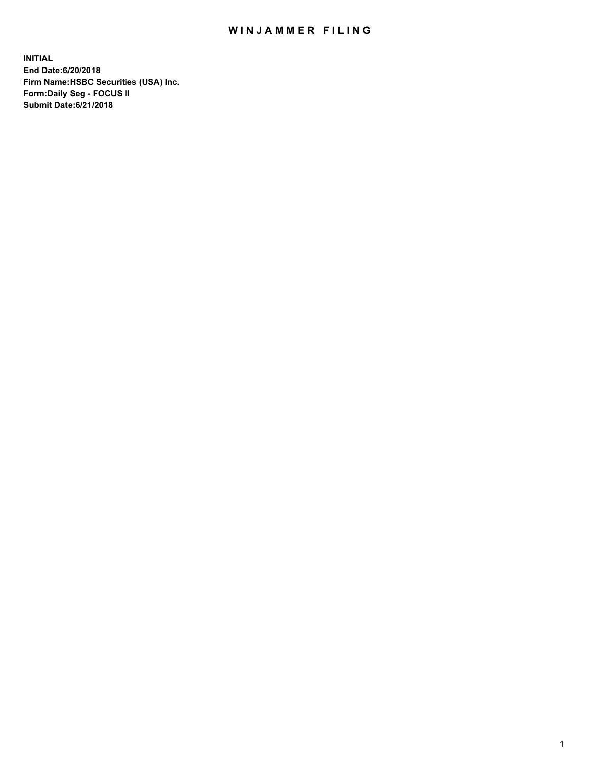## WIN JAMMER FILING

**INITIAL End Date:6/20/2018 Firm Name:HSBC Securities (USA) Inc. Form:Daily Seg - FOCUS II Submit Date:6/21/2018**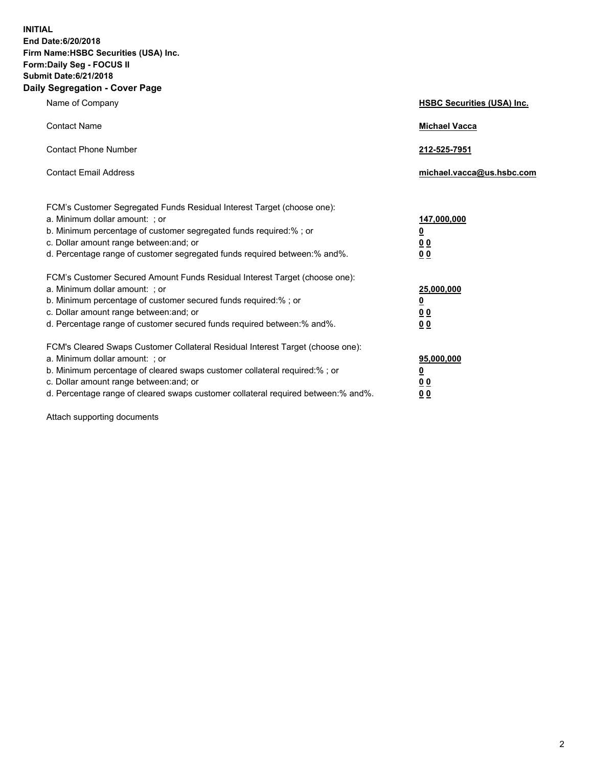**INITIAL End Date:6/20/2018 Firm Name:HSBC Securities (USA) Inc. Form:Daily Seg - FOCUS II Submit Date:6/21/2018 Daily Segregation - Cover Page**

| Name of Company                                                                                                                                                                                                                                                                                                                | <b>HSBC Securities (USA) Inc.</b>                                          |
|--------------------------------------------------------------------------------------------------------------------------------------------------------------------------------------------------------------------------------------------------------------------------------------------------------------------------------|----------------------------------------------------------------------------|
| <b>Contact Name</b>                                                                                                                                                                                                                                                                                                            | <b>Michael Vacca</b>                                                       |
| <b>Contact Phone Number</b>                                                                                                                                                                                                                                                                                                    | 212-525-7951                                                               |
| <b>Contact Email Address</b>                                                                                                                                                                                                                                                                                                   | michael.vacca@us.hsbc.com                                                  |
| FCM's Customer Segregated Funds Residual Interest Target (choose one):<br>a. Minimum dollar amount: : or<br>b. Minimum percentage of customer segregated funds required:% ; or<br>c. Dollar amount range between: and; or<br>d. Percentage range of customer segregated funds required between:% and%.                         | 147,000,000<br>$\overline{\mathbf{0}}$<br>0 <sub>0</sub><br>0 <sub>0</sub> |
| FCM's Customer Secured Amount Funds Residual Interest Target (choose one):<br>a. Minimum dollar amount: ; or<br>b. Minimum percentage of customer secured funds required:%; or<br>c. Dollar amount range between: and; or<br>d. Percentage range of customer secured funds required between:% and%.                            | 25,000,000<br><u>0</u><br>0 <sub>0</sub><br>00                             |
| FCM's Cleared Swaps Customer Collateral Residual Interest Target (choose one):<br>a. Minimum dollar amount: ; or<br>b. Minimum percentage of cleared swaps customer collateral required:% ; or<br>c. Dollar amount range between: and; or<br>d. Percentage range of cleared swaps customer collateral required between:% and%. | 95,000,000<br><u>0</u><br>00<br>0 <sub>0</sub>                             |

Attach supporting documents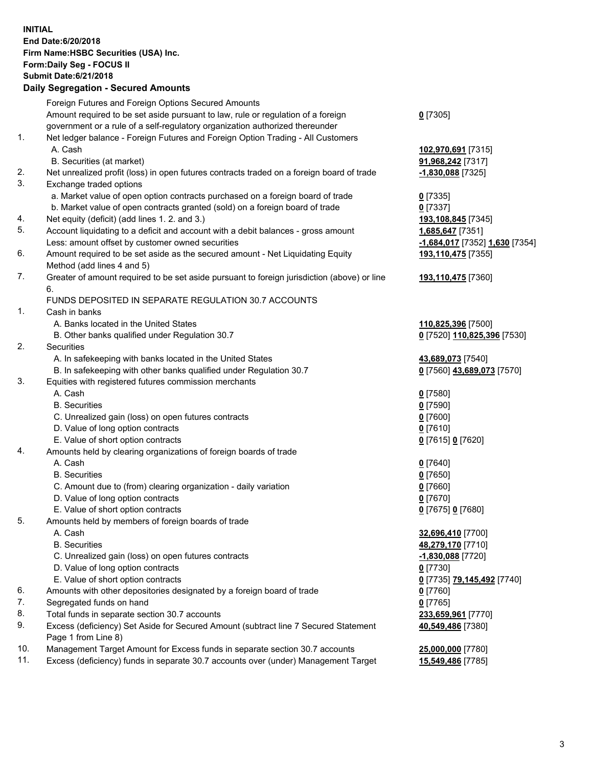**INITIAL End Date:6/20/2018 Firm Name:HSBC Securities (USA) Inc. Form:Daily Seg - FOCUS II Submit Date:6/21/2018 Daily Segregation - Secured Amounts** Foreign Futures and Foreign Options Secured Amounts Amount required to be set aside pursuant to law, rule or regulation of a foreign government or a rule of a self-regulatory organization authorized thereunder **0** [7305] 1. Net ledger balance - Foreign Futures and Foreign Option Trading - All Customers A. Cash **102,970,691** [7315] B. Securities (at market) **91,968,242** [7317] 2. Net unrealized profit (loss) in open futures contracts traded on a foreign board of trade **-1,830,088** [7325] 3. Exchange traded options a. Market value of open option contracts purchased on a foreign board of trade **0** [7335] b. Market value of open contracts granted (sold) on a foreign board of trade **0** [7337] 4. Net equity (deficit) (add lines 1. 2. and 3.) **193,108,845** [7345] 5. Account liquidating to a deficit and account with a debit balances - gross amount **1,685,647** [7351] Less: amount offset by customer owned securities **-1,684,017** [7352] **1,630** [7354] 6. Amount required to be set aside as the secured amount - Net Liquidating Equity Method (add lines 4 and 5) **193,110,475** [7355] 7. Greater of amount required to be set aside pursuant to foreign jurisdiction (above) or line 6. **193,110,475** [7360] FUNDS DEPOSITED IN SEPARATE REGULATION 30.7 ACCOUNTS 1. Cash in banks A. Banks located in the United States **110,825,396** [7500] B. Other banks qualified under Regulation 30.7 **0** [7520] **110,825,396** [7530] 2. Securities A. In safekeeping with banks located in the United States **43,689,073** [7540] B. In safekeeping with other banks qualified under Regulation 30.7 **0** [7560] **43,689,073** [7570] 3. Equities with registered futures commission merchants A. Cash **0** [7580] B. Securities **0** [7590] C. Unrealized gain (loss) on open futures contracts **0** [7600] D. Value of long option contracts **0** [7610] E. Value of short option contracts **0** [7615] **0** [7620] 4. Amounts held by clearing organizations of foreign boards of trade A. Cash **0** [7640] B. Securities **0** [7650] C. Amount due to (from) clearing organization - daily variation **0** [7660] D. Value of long option contracts **0** [7670] E. Value of short option contracts **0** [7675] **0** [7680] 5. Amounts held by members of foreign boards of trade A. Cash **32,696,410** [7700] B. Securities **48,279,170** [7710] C. Unrealized gain (loss) on open futures contracts **-1,830,088** [7720] D. Value of long option contracts **0** [7730] E. Value of short option contracts **0** [7735] **79,145,492** [7740] 6. Amounts with other depositories designated by a foreign board of trade **0** [7760] 7. Segregated funds on hand **0** [7765] 8. Total funds in separate section 30.7 accounts **233,659,961** [7770] 9. Excess (deficiency) Set Aside for Secured Amount (subtract line 7 Secured Statement Page 1 from Line 8) **40,549,486** [7380] 10. Management Target Amount for Excess funds in separate section 30.7 accounts **25,000,000** [7780]

11. Excess (deficiency) funds in separate 30.7 accounts over (under) Management Target **15,549,486** [7785]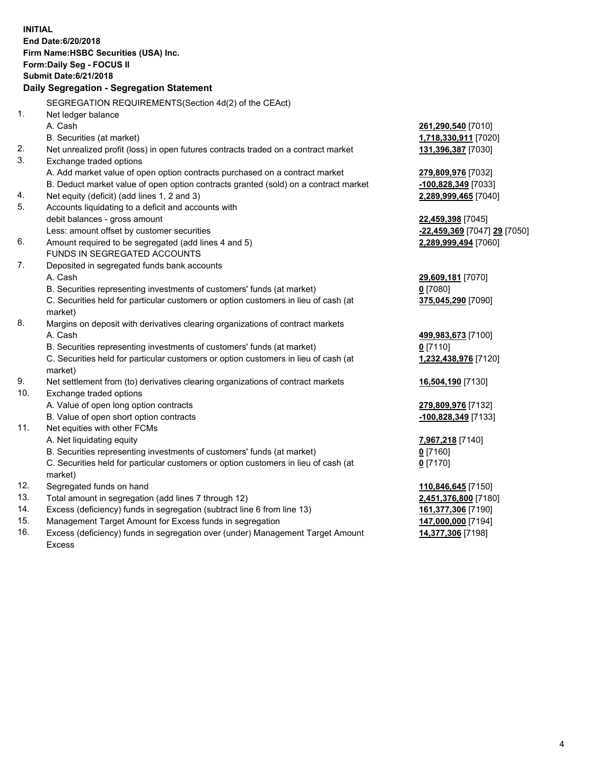|     | <b>INITIAL</b><br>End Date: 6/20/2018<br>Firm Name: HSBC Securities (USA) Inc.<br>Form: Daily Seg - FOCUS II<br><b>Submit Date:6/21/2018</b><br>Daily Segregation - Segregation Statement |                              |
|-----|-------------------------------------------------------------------------------------------------------------------------------------------------------------------------------------------|------------------------------|
|     |                                                                                                                                                                                           |                              |
|     | SEGREGATION REQUIREMENTS (Section 4d(2) of the CEAct)                                                                                                                                     |                              |
| 1.  | Net ledger balance                                                                                                                                                                        |                              |
|     | A. Cash                                                                                                                                                                                   | 261,290,540 [7010]           |
|     | B. Securities (at market)                                                                                                                                                                 | 1,718,330,911 [7020]         |
| 2.  | Net unrealized profit (loss) in open futures contracts traded on a contract market                                                                                                        | 131,396,387 [7030]           |
| 3.  | Exchange traded options                                                                                                                                                                   |                              |
|     | A. Add market value of open option contracts purchased on a contract market                                                                                                               | 279,809,976 [7032]           |
|     | B. Deduct market value of open option contracts granted (sold) on a contract market                                                                                                       | <u>-100,828,349</u> [7033]   |
| 4.  | Net equity (deficit) (add lines 1, 2 and 3)                                                                                                                                               | 2,289,999,465 [7040]         |
| 5.  | Accounts liquidating to a deficit and accounts with                                                                                                                                       |                              |
|     | debit balances - gross amount                                                                                                                                                             | 22,459,398 [7045]            |
|     | Less: amount offset by customer securities                                                                                                                                                | -22,459,369 [7047] 29 [7050] |
| 6.  | Amount required to be segregated (add lines 4 and 5)                                                                                                                                      | 2,289,999,494 [7060]         |
|     | FUNDS IN SEGREGATED ACCOUNTS                                                                                                                                                              |                              |
| 7.  | Deposited in segregated funds bank accounts                                                                                                                                               |                              |
|     | A. Cash                                                                                                                                                                                   | 29,609,181 [7070]            |
|     | B. Securities representing investments of customers' funds (at market)                                                                                                                    | $0$ [7080]                   |
|     | C. Securities held for particular customers or option customers in lieu of cash (at<br>market)                                                                                            | 375,045,290 [7090]           |
| 8.  | Margins on deposit with derivatives clearing organizations of contract markets                                                                                                            |                              |
|     | A. Cash                                                                                                                                                                                   | 499,983,673 [7100]           |
|     | B. Securities representing investments of customers' funds (at market)                                                                                                                    | $0$ [7110]                   |
|     | C. Securities held for particular customers or option customers in lieu of cash (at                                                                                                       | 1,232,438,976 [7120]         |
|     | market)                                                                                                                                                                                   |                              |
| 9.  | Net settlement from (to) derivatives clearing organizations of contract markets                                                                                                           | 16,504,190 [7130]            |
| 10. | Exchange traded options                                                                                                                                                                   |                              |
|     | A. Value of open long option contracts                                                                                                                                                    | 279,809,976 [7132]           |
|     | B. Value of open short option contracts                                                                                                                                                   | -100,828,349 [7133]          |
| 11. | Net equities with other FCMs                                                                                                                                                              |                              |
|     | A. Net liquidating equity                                                                                                                                                                 | <u>7,967,218</u> [7140]      |
|     | B. Securities representing investments of customers' funds (at market)                                                                                                                    | 0 <sup>[7160]</sup>          |
|     | C. Securities held for particular customers or option customers in lieu of cash (at                                                                                                       | $0$ [7170]                   |
|     | market)                                                                                                                                                                                   |                              |
| 12. | Segregated funds on hand                                                                                                                                                                  | 110,846,645 [7150]           |
| 13. | Total amount in segregation (add lines 7 through 12)                                                                                                                                      | 2,451,376,800 [7180]         |
| 14. | Excess (deficiency) funds in segregation (subtract line 6 from line 13)                                                                                                                   | 161,377,306 [7190]           |
| 15. | Management Target Amount for Excess funds in segregation                                                                                                                                  | 147,000,000 [7194]           |

16. Excess (deficiency) funds in segregation over (under) Management Target Amount Excess

**14,377,306** [7198]